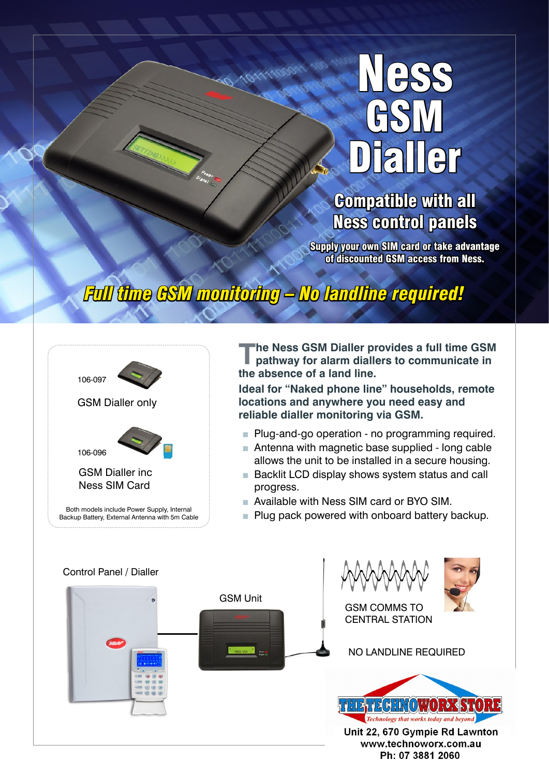## Ness GSM aller

### Compatible with all Ness control panels

Supply your own SIM card or take advantage of discounted GSM access from Ness.

## *Full time GSM monitoring – No landline required!*

101111000



**The Ness GSM Dialler provides a full time GSM pathway for alarm diallers to communicate in the absence of a land line.**

**Ideal for "Naked phone line" households, remote locations and anywhere you need easy and reliable dialler monitoring via GSM.**

- Plug-and-go operation no programming required.
- Antenna with magnetic base supplied long cable allows the unit to be installed in a secure housing.
- Backlit LCD display shows system status and call progress.
- Available with Ness SIM card or BYO SIM.
- Plug pack powered with onboard battery backup.